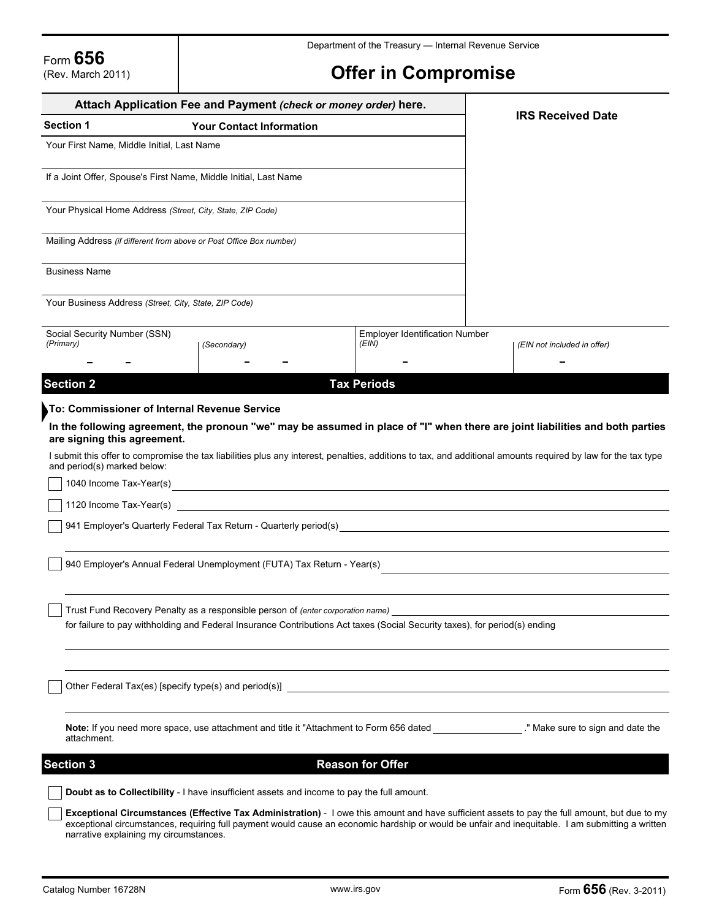# **Offer in Compromise**

|                                                                                       | Attach Application Fee and Payment (check or money order) here.                                                                                                                                               |                                       | <b>IRS Received Date</b>                                                                                                                                                                                                                                                                          |
|---------------------------------------------------------------------------------------|---------------------------------------------------------------------------------------------------------------------------------------------------------------------------------------------------------------|---------------------------------------|---------------------------------------------------------------------------------------------------------------------------------------------------------------------------------------------------------------------------------------------------------------------------------------------------|
| <b>Section 1</b>                                                                      | <b>Your Contact Information</b>                                                                                                                                                                               |                                       |                                                                                                                                                                                                                                                                                                   |
| Your First Name, Middle Initial, Last Name                                            |                                                                                                                                                                                                               |                                       |                                                                                                                                                                                                                                                                                                   |
|                                                                                       | If a Joint Offer, Spouse's First Name, Middle Initial, Last Name                                                                                                                                              |                                       |                                                                                                                                                                                                                                                                                                   |
|                                                                                       | Your Physical Home Address (Street, City, State, ZIP Code)                                                                                                                                                    |                                       |                                                                                                                                                                                                                                                                                                   |
|                                                                                       | Mailing Address (if different from above or Post Office Box number)                                                                                                                                           |                                       |                                                                                                                                                                                                                                                                                                   |
| <b>Business Name</b>                                                                  |                                                                                                                                                                                                               |                                       |                                                                                                                                                                                                                                                                                                   |
|                                                                                       | Your Business Address (Street, City, State, ZIP Code)                                                                                                                                                         |                                       |                                                                                                                                                                                                                                                                                                   |
| Social Security Number (SSN)                                                          |                                                                                                                                                                                                               | <b>Employer Identification Number</b> |                                                                                                                                                                                                                                                                                                   |
| (Primary)                                                                             | (Secondary)                                                                                                                                                                                                   | (EIN)                                 | (EIN not included in offer)                                                                                                                                                                                                                                                                       |
| <b>Section 2</b>                                                                      |                                                                                                                                                                                                               | <b>Tax Periods</b>                    |                                                                                                                                                                                                                                                                                                   |
|                                                                                       | To: Commissioner of Internal Revenue Service                                                                                                                                                                  |                                       |                                                                                                                                                                                                                                                                                                   |
| are signing this agreement.<br>and period(s) marked below:<br>1040 Income Tax-Year(s) |                                                                                                                                                                                                               |                                       | In the following agreement, the pronoun "we" may be assumed in place of "I" when there are joint liabilities and both parties<br>I submit this offer to compromise the tax liabilities plus any interest, penalties, additions to tax, and additional amounts required by law for the tax type    |
| 1120 Income Tax-Year(s)                                                               | 941 Employer's Quarterly Federal Tax Return - Quarterly period(s)                                                                                                                                             |                                       |                                                                                                                                                                                                                                                                                                   |
|                                                                                       | 940 Employer's Annual Federal Unemployment (FUTA) Tax Return - Year(s)                                                                                                                                        |                                       |                                                                                                                                                                                                                                                                                                   |
|                                                                                       | Trust Fund Recovery Penalty as a responsible person of (enter corporation name)<br>for failure to pay withholding and Federal Insurance Contributions Act taxes (Social Security taxes), for period(s) ending |                                       |                                                                                                                                                                                                                                                                                                   |
|                                                                                       |                                                                                                                                                                                                               |                                       |                                                                                                                                                                                                                                                                                                   |
| attachment.                                                                           |                                                                                                                                                                                                               |                                       | Note: If you need more space, use attachment and title it "Attachment to Form 656 dated "Make sure to sign and date the                                                                                                                                                                           |
| <b>Section 3</b>                                                                      |                                                                                                                                                                                                               | <b>Reason for Offer</b>               |                                                                                                                                                                                                                                                                                                   |
|                                                                                       | Doubt as to Collectibility - I have insufficient assets and income to pay the full amount.                                                                                                                    |                                       |                                                                                                                                                                                                                                                                                                   |
|                                                                                       | narrative explaining my circumstances.                                                                                                                                                                        |                                       | Exceptional Circumstances (Effective Tax Administration) - I owe this amount and have sufficient assets to pay the full amount, but due to my<br>exceptional circumstances, requiring full payment would cause an economic hardship or would be unfair and inequitable. I am submitting a written |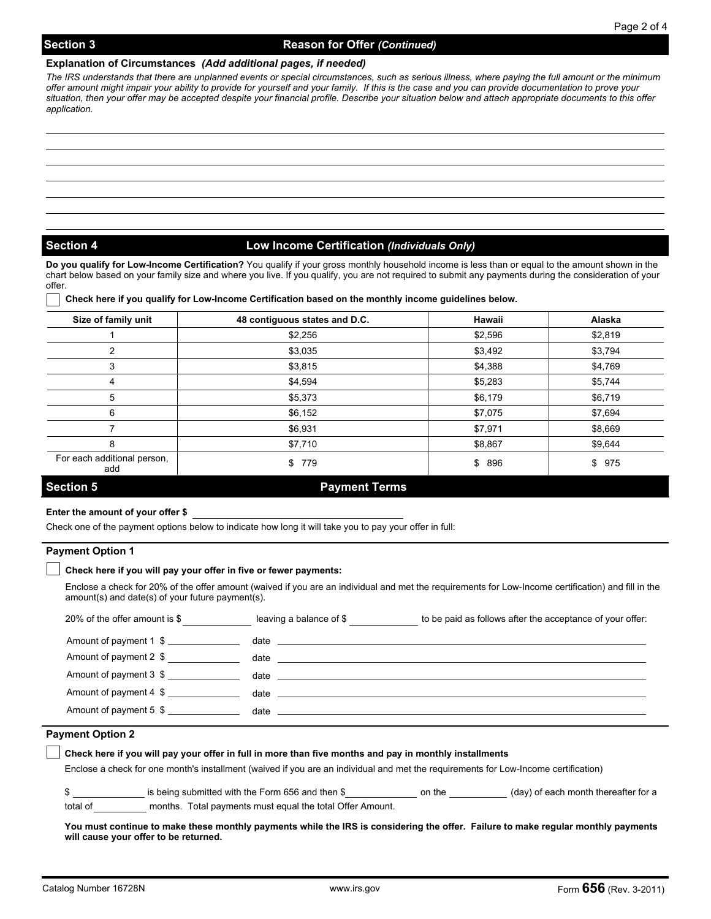### **Explanation of Circumstances** *(Add additional pages, if needed)*

*The IRS understands that there are unplanned events or special circumstances, such as serious illness, where paying the full amount or the minimum offer amount might impair your ability to provide for yourself and your family. If this is the case and you can provide documentation to prove your situation, then your offer may be accepted despite your financial profile. Describe your situation below and attach appropriate documents to this offer application.* 

# **Section 4 Low Income Certification** *(Individuals Only)*

**Do you qualify for Low-Income Certification?** You qualify if your gross monthly household income is less than or equal to the amount shown in the chart below based on your family size and where you live. If you qualify, you are not required to submit any payments during the consideration of your offer.

### **Check here if you qualify for Low-Income Certification based on the monthly income guidelines below.**

| Size of family unit                | 48 contiguous states and D.C. | Hawaii  | Alaska  |
|------------------------------------|-------------------------------|---------|---------|
|                                    | \$2,256                       | \$2,596 | \$2,819 |
| 2                                  | \$3,035                       | \$3,492 | \$3,794 |
| 3                                  | \$3,815                       | \$4,388 | \$4,769 |
| 4                                  | \$4,594                       | \$5,283 | \$5,744 |
| 5                                  | \$5,373                       | \$6,179 | \$6,719 |
| 6                                  | \$6,152                       | \$7,075 | \$7,694 |
|                                    | \$6,931                       | \$7,971 | \$8,669 |
| 8                                  | \$7,710                       | \$8,867 | \$9,644 |
| For each additional person,<br>add | 779<br>\$                     | \$ 896  | \$975   |
| <b>Section 5</b>                   | <b>Payment Terms</b>          |         |         |

### **Enter the amount of your offer \$**

Check one of the payment options below to indicate how long it will take you to pay your offer in full:

#### **Payment Option 1**

#### **Check here if you will pay your offer in five or fewer payments:**

Enclose a check for 20% of the offer amount (waived if you are an individual and met the requirements for Low-Income certification) and fill in the amount(s) and date(s) of your future payment(s).

| 20% of the offer amount is \$ | leaving a balance of \$                                                                                                                                                                                                        | to be paid as follows after the acceptance of your offer:       |
|-------------------------------|--------------------------------------------------------------------------------------------------------------------------------------------------------------------------------------------------------------------------------|-----------------------------------------------------------------|
| Amount of payment 1 \$        | date the contract of the contract of the contract of the contract of the contract of the contract of the contract of the contract of the contract of the contract of the contract of the contract of the contract of the contr |                                                                 |
| Amount of payment 2 \$        | date                                                                                                                                                                                                                           | <u> 1989 - John Stone, Amerikaans en Stone (overleden 1989)</u> |
| Amount of payment 3 \$        |                                                                                                                                                                                                                                |                                                                 |
| Amount of payment 4 \$        | date and the second contract of the second contract of the second contract of the second contract of the second                                                                                                                |                                                                 |
| Amount of payment 5 \$        | date                                                                                                                                                                                                                           |                                                                 |

# **Payment Option 2**

| Check here if you will pay your offer in full in more than five months and pay in monthly installments                              |                                                           |        |                                      |  |  |
|-------------------------------------------------------------------------------------------------------------------------------------|-----------------------------------------------------------|--------|--------------------------------------|--|--|
| Enclose a check for one month's installment (waived if you are an individual and met the requirements for Low-Income certification) |                                                           |        |                                      |  |  |
|                                                                                                                                     | is being submitted with the Form 656 and then \$          | on the | (day) of each month thereafter for a |  |  |
| total of                                                                                                                            | months. Total payments must equal the total Offer Amount. |        |                                      |  |  |

**You must continue to make these monthly payments while the IRS is considering the offer. Failure to make regular monthly payments will cause your offer to be returned.**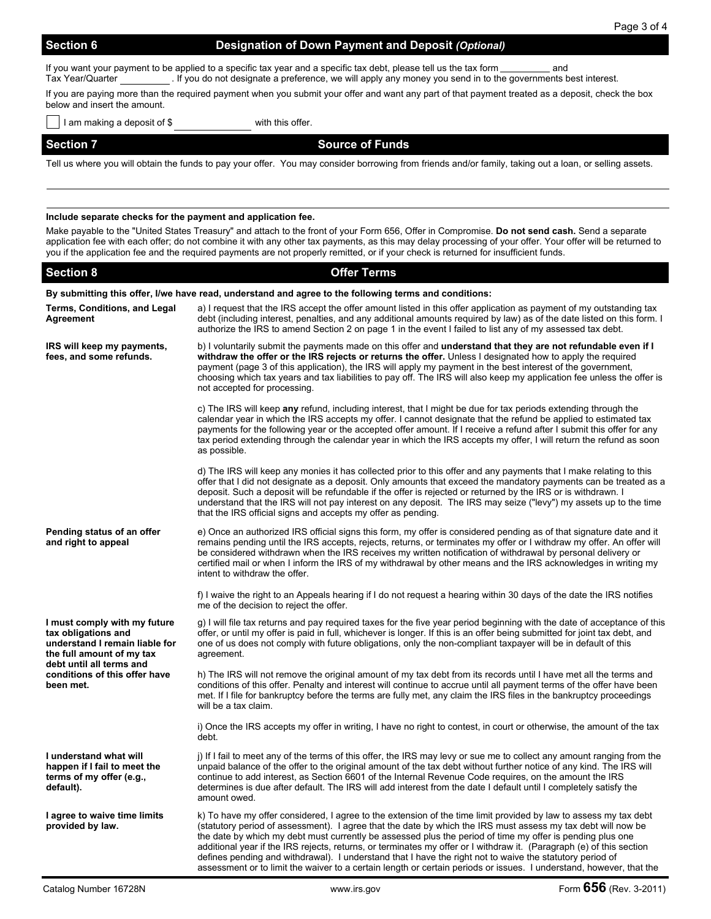# **Section 6 Designation of Down Payment and Deposit (Optional)**

If you want your payment to be applied to a specific tax year and a specific tax debt, please tell us the tax form \_\_\_\_\_\_\_\_\_\_\_\_\_ and Tax Year/Quarter . If you do not designate a preference, we will apply any money you send in to the governments best interest.

If you are paying more than the required payment when you submit your offer and want any part of that payment treated as a deposit, check the box below and insert the amount.

I am making a deposit of \$ with this offer.

**Section 7** Source of Funds

Tell us where you will obtain the funds to pay your offer. You may consider borrowing from friends and/or family, taking out a loan, or selling assets.

#### **Include separate checks for the payment and application fee.**

Make payable to the "United States Treasury" and attach to the front of your Form 656, Offer in Compromise. **Do not send cash.** Send a separate application fee with each offer; do not combine it with any other tax payments, as this may delay processing of your offer. Your offer will be returned to you if the application fee and the required payments are not properly remitted, or if your check is returned for insufficient funds.

| <b>Section 8</b>                                                                                                                               | <b>Offer Terms</b>                                                                                                                                                                                                                                                                                                                                                                                                                                                                                                                                                                                                                                                                                       |  |  |  |
|------------------------------------------------------------------------------------------------------------------------------------------------|----------------------------------------------------------------------------------------------------------------------------------------------------------------------------------------------------------------------------------------------------------------------------------------------------------------------------------------------------------------------------------------------------------------------------------------------------------------------------------------------------------------------------------------------------------------------------------------------------------------------------------------------------------------------------------------------------------|--|--|--|
| By submitting this offer, I/we have read, understand and agree to the following terms and conditions:                                          |                                                                                                                                                                                                                                                                                                                                                                                                                                                                                                                                                                                                                                                                                                          |  |  |  |
| Terms, Conditions, and Legal<br>Agreement                                                                                                      | a) I request that the IRS accept the offer amount listed in this offer application as payment of my outstanding tax<br>debt (including interest, penalties, and any additional amounts required by law) as of the date listed on this form. I<br>authorize the IRS to amend Section 2 on page 1 in the event I failed to list any of my assessed tax debt.                                                                                                                                                                                                                                                                                                                                               |  |  |  |
| IRS will keep my payments,<br>fees, and some refunds.                                                                                          | b) I voluntarily submit the payments made on this offer and understand that they are not refundable even if I<br>withdraw the offer or the IRS rejects or returns the offer. Unless I designated how to apply the required<br>payment (page 3 of this application), the IRS will apply my payment in the best interest of the government,<br>choosing which tax years and tax liabilities to pay off. The IRS will also keep my application fee unless the offer is<br>not accepted for processing.                                                                                                                                                                                                      |  |  |  |
|                                                                                                                                                | c) The IRS will keep any refund, including interest, that I might be due for tax periods extending through the<br>calendar year in which the IRS accepts my offer. I cannot designate that the refund be applied to estimated tax<br>payments for the following year or the accepted offer amount. If I receive a refund after I submit this offer for any<br>tax period extending through the calendar year in which the IRS accepts my offer, I will return the refund as soon<br>as possible.                                                                                                                                                                                                         |  |  |  |
|                                                                                                                                                | d) The IRS will keep any monies it has collected prior to this offer and any payments that I make relating to this<br>offer that I did not designate as a deposit. Only amounts that exceed the mandatory payments can be treated as a<br>deposit. Such a deposit will be refundable if the offer is rejected or returned by the IRS or is withdrawn. I<br>understand that the IRS will not pay interest on any deposit. The IRS may seize ("levy") my assets up to the time<br>that the IRS official signs and accepts my offer as pending.                                                                                                                                                             |  |  |  |
| Pending status of an offer<br>and right to appeal                                                                                              | e) Once an authorized IRS official signs this form, my offer is considered pending as of that signature date and it<br>remains pending until the IRS accepts, rejects, returns, or terminates my offer or I withdraw my offer. An offer will<br>be considered withdrawn when the IRS receives my written notification of withdrawal by personal delivery or<br>certified mail or when I inform the IRS of my withdrawal by other means and the IRS acknowledges in writing my<br>intent to withdraw the offer.                                                                                                                                                                                           |  |  |  |
|                                                                                                                                                | f) I waive the right to an Appeals hearing if I do not request a hearing within 30 days of the date the IRS notifies<br>me of the decision to reject the offer.                                                                                                                                                                                                                                                                                                                                                                                                                                                                                                                                          |  |  |  |
| I must comply with my future<br>tax obligations and<br>understand I remain liable for<br>the full amount of my tax<br>debt until all terms and | g) I will file tax returns and pay required taxes for the five year period beginning with the date of acceptance of this<br>offer, or until my offer is paid in full, whichever is longer. If this is an offer being submitted for joint tax debt, and<br>one of us does not comply with future obligations, only the non-compliant taxpayer will be in default of this<br>agreement.                                                                                                                                                                                                                                                                                                                    |  |  |  |
| conditions of this offer have<br>been met.                                                                                                     | h) The IRS will not remove the original amount of my tax debt from its records until I have met all the terms and<br>conditions of this offer. Penalty and interest will continue to accrue until all payment terms of the offer have been<br>met. If I file for bankruptcy before the terms are fully met, any claim the IRS files in the bankruptcy proceedings<br>will be a tax claim.                                                                                                                                                                                                                                                                                                                |  |  |  |
|                                                                                                                                                | i) Once the IRS accepts my offer in writing, I have no right to contest, in court or otherwise, the amount of the tax<br>debt.                                                                                                                                                                                                                                                                                                                                                                                                                                                                                                                                                                           |  |  |  |
| I understand what will<br>happen if I fail to meet the<br>terms of my offer (e.g.,<br>default).                                                | j) If I fail to meet any of the terms of this offer, the IRS may levy or sue me to collect any amount ranging from the<br>unpaid balance of the offer to the original amount of the tax debt without further notice of any kind. The IRS will<br>continue to add interest, as Section 6601 of the Internal Revenue Code requires, on the amount the IRS<br>determines is due after default. The IRS will add interest from the date I default until I completely satisfy the<br>amount owed.                                                                                                                                                                                                             |  |  |  |
| I agree to waive time limits<br>provided by law.                                                                                               | k) To have my offer considered, I agree to the extension of the time limit provided by law to assess my tax debt<br>(statutory period of assessment). I agree that the date by which the IRS must assess my tax debt will now be<br>the date by which my debt must currently be assessed plus the period of time my offer is pending plus one<br>additional year if the IRS rejects, returns, or terminates my offer or I withdraw it. (Paragraph (e) of this section<br>defines pending and withdrawal). I understand that I have the right not to waive the statutory period of<br>assessment or to limit the waiver to a certain length or certain periods or issues. I understand, however, that the |  |  |  |